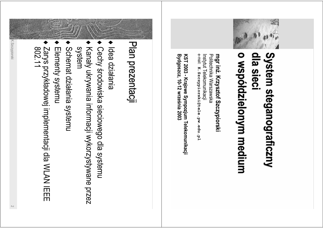

#### System steganograficzny o współdzielonym medium dla sieci

e-mail: K. Szczypiorski@tele.pw.edu.pl Politechnika Warszawska mgr inż. Krzysztof Szczypiorski Instytut Telekomunikacji

Bydgoszcz, 10-12 września 2003 KST 2003 - Krajowe Sympozjum Telekomunikacji

### Plan prezentacji

- Idea działania
- Cechy środowiska sieciowego dla systemu
- Kanały ukrywania informacji wykorzystywane przez system
- Schemat działania systemu
- Elementy systemu
- Zarys przykładowej implementacji dla WLAN IEEE<br>802.11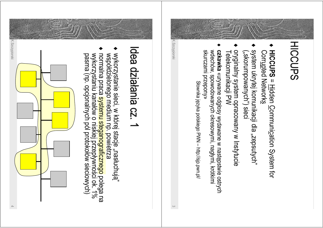

- HICCUPS = Hidden Communication System for Corr<u>up</u>ted Networks
- system ukrytej komunikacji dla "zepsutych" ("skorumpowanych") sieci
- oryginalny system opracowany w Instytucie<br>Telekomunikacji PW
- «Vnrczami przepony» czkawka «urywane odgłosy wydawane w następstwie ostrych<br>wdechów, spowodowanych okresowymi, nagłymi, krótkimi

Słownika języka polskiego PVN - http://sip.p.k.

K.Szczypiorski

### Idea działania cz. 1

- wykorzystanie sieci, w której stacje "nasłuchuja"<br>współdzielonego medium np. powietrza
- normalna praca <mark>systemu steganograficznego</mark> polega na<br>wykorzystaniu kanałów o niskiej przepływności ok. 1%<br>pasma (np. opcjonalnych pól protokołów sieciowych)

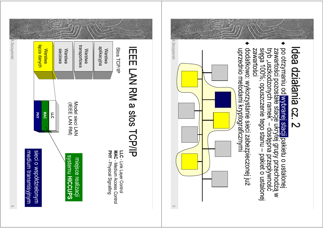



 $\circ$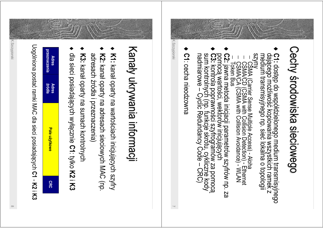# Cechy środowiska sieciowego

- C1: dostęp do współdzielonego medium transmisyjnego<br>dającego możliwość kopiowania wszystkich ramek z<br>medium transmisyjnego np. sieć lokalna o topologii
- 
- 
- C2: jawna metoda inicjacji parametrów szyfrów np. za<br>pomocą wartości, wektorów inicjujących<br>C3: kontrola poprawności szyfrogramów za pomocą<br>sum kontrolnych (np. funkcje skrótu, cykliczne kody<br>nadmiarowe Cyclic Redundancy
- C1: cecha nieodzowna

K. Szczypiorski

## Kanały ukrywania informacji

- K1: kanał oparty na wartościach inicjujących szyfry
- K2: kanał oparty na adresach sieciowych MAC (np. adresach źródła i przeznaczenia)
- K3: kanał oparty na sumach kontrolnych
- dla sieci posiadających wyłącznie C1: tylko K2 i K3

Uogólniona postać ramki MAC dla sieci posiadających C1 - K2 i K3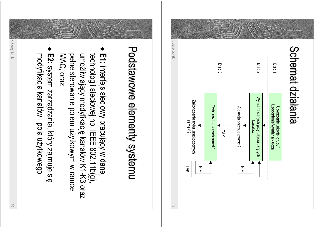

E1: interfejs sieciowy pracujący w danej MAC, oraz pełne sterowanie polem użytkowym w ramce umożliwiający modyfikację kanałów K1-K3 oraz technologii sieciowej np. IEEE 802.11b(g)).

Podstawowe elementy systemu

 $\circ$ 

E2: system zarządzania, który zajmuje się modyfikacją kanałów i pola użytkowego

 $\rightleftarrows$ 

K. Szczypiorski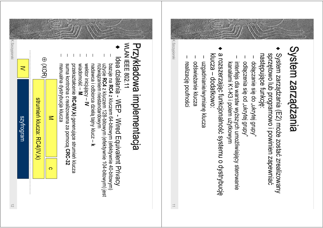

- System zarządzania (E2) może zostać zrealizowany sprzętowo lub programowo i powinien zapewniac następujące funkcję:
- dołączanie się do "ukrytej grupy"
- odłączenia się od "ukrytej grupy"
- interfejs dla warstw wyższych umożliwiający sterowanie kanałami K1-K3 i polem użytkowym
- a rozszerzając funkcjonalność systemu o dystrybucję klucza – dodatkowo
- uzgadnianie/wymianę klucza
- odświeżanie klucza
- realizację poufności

K.Szczypiorski

 $\Rightarrow$ 

### WLAN IEEE 802.11 Przykładowa implementacja

- Idea działania WEP Wired Equivalent Privacy
- użycie RC4 z kluczem 128-bitowym (efektywnie 104-bitowym) jest<br>rozwiązaniem niestandardowym bazuje na RC4 z kluczem 64-bitowym (efektywnie 40-bitowym)
- nadawca i odbiorca dzielą tajny klucz k
- wektor inicjujący IV
- wiadomość M przekształcenie RC4(IV, k) generujące strumień klucza
- suma kontrolna c realizowana za pomoca CRC-32
- manualna dystrybucja klucza



K. Szczypiorski

 $\overline{<}$ 

szytrogram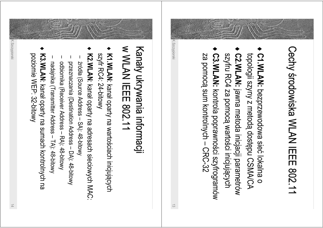# Cechy środowiska WLAN IEEE 802.11

- C1. WLAN: bezprzewodowa sieć lokalna o topologii szyny z metodą dostępu CSMA/CA
- C2. WLAN: jawna metoda inicjacji parametrów szyfru RC4 za pomocą wartości inicjujących
- C3. WLAN: kontrola poprawności szyfrogramów za pomocą sum kontrolnych - CRC-32

K.Szczypiorski

#### **W WLAN IEEE 802.11** Kanały ukrywania informacji

- K1. WLAN: kanał oparty na wartościach inicjujących szyfr RC4: 24-bitowy
- K2. WLAN: kanał oparty na adresach sieciowych MAC:
- źródła (Source Address SA): 48-bitowy
- przeznaczania (Destination Address DA): 48-bitowy odpiornika (Receiver Address - KA): 48-bitowy
- nadajnika (Transmitter Address TA): 48-bitowy
- K3. WLAN: kanał oparty na sumach kontrolnych na poziomie WEP: 32-bitowy